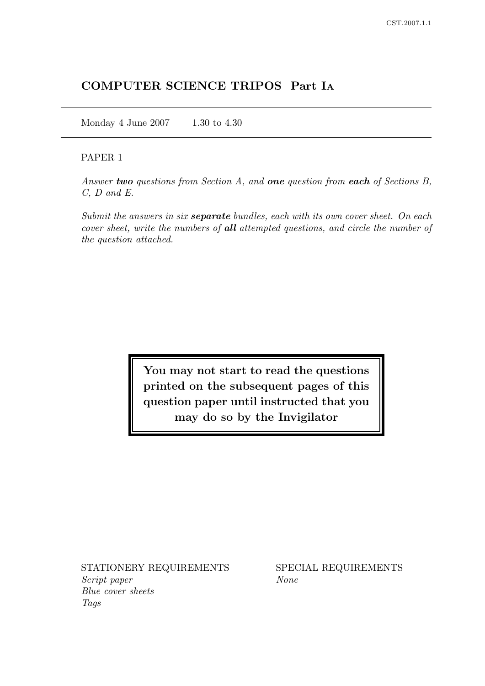## COMPUTER SCIENCE TRIPOS Part I<sup>A</sup>

Monday 4 June 2007 1.30 to 4.30

## PAPER 1

Answer two questions from Section A, and one question from each of Sections B, C, D and E.

Submit the answers in six **separate** bundles, each with its own cover sheet. On each cover sheet, write the numbers of all attempted questions, and circle the number of the question attached.

> You may not start to read the questions printed on the subsequent pages of this question paper until instructed that you may do so by the Invigilator

STATIONERY REQUIREMENTS SPECIAL REQUIREMENTS Script paper None Blue cover sheets Tags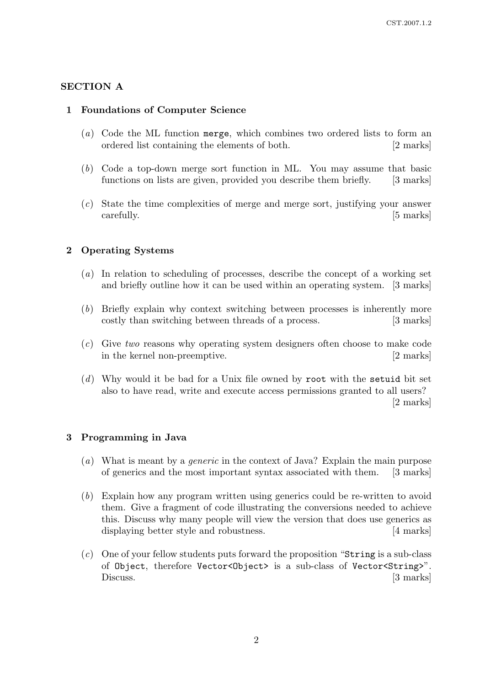## SECTION A

## 1 Foundations of Computer Science

- (a) Code the ML function merge, which combines two ordered lists to form an ordered list containing the elements of both. [2 marks]
- (b) Code a top-down merge sort function in ML. You may assume that basic functions on lists are given, provided you describe them briefly. [3 marks]
- (c) State the time complexities of merge and merge sort, justifying your answer carefully. [5 marks]

## 2 Operating Systems

- (a) In relation to scheduling of processes, describe the concept of a working set and briefly outline how it can be used within an operating system. [3 marks]
- (b) Briefly explain why context switching between processes is inherently more costly than switching between threads of a process. [3 marks]
- (c) Give two reasons why operating system designers often choose to make code in the kernel non-preemptive. [2 marks]
- (d) Why would it be bad for a Unix file owned by root with the setuid bit set also to have read, write and execute access permissions granted to all users? [2 marks]

#### 3 Programming in Java

- (a) What is meant by a *generic* in the context of Java? Explain the main purpose of generics and the most important syntax associated with them. [3 marks]
- (b) Explain how any program written using generics could be re-written to avoid them. Give a fragment of code illustrating the conversions needed to achieve this. Discuss why many people will view the version that does use generics as displaying better style and robustness. [4 marks]
- (c) One of your fellow students puts forward the proposition "String is a sub-class of Object, therefore Vector<Object> is a sub-class of Vector<String>". Discuss. [3 marks]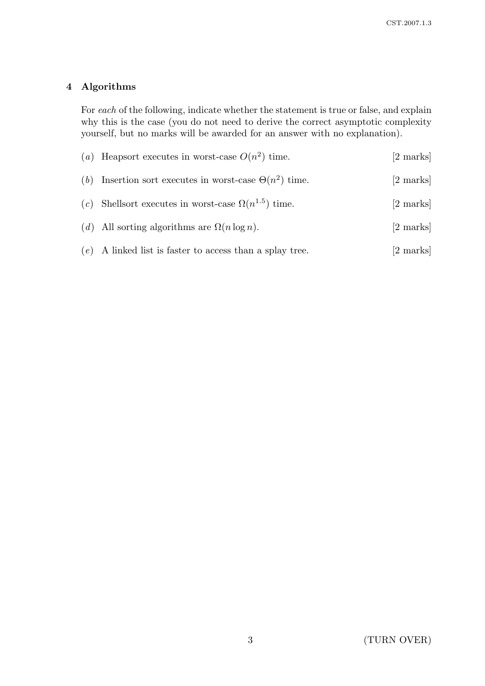# 4 Algorithms

For each of the following, indicate whether the statement is true or false, and explain why this is the case (you do not need to derive the correct asymptotic complexity yourself, but no marks will be awarded for an answer with no explanation).

| (a) Heapsort executes in worst-case $O(n^2)$ time.            | [2 marks] |
|---------------------------------------------------------------|-----------|
| (b) Insertion sort executes in worst-case $\Theta(n^2)$ time. | [2 marks] |
| (c) Shellsort executes in worst-case $\Omega(n^{1.5})$ time.  | [2 marks] |
| (d) All sorting algorithms are $\Omega(n \log n)$ .           | [2 marks] |
| $(e)$ A linked list is faster to access than a splay tree.    | [2 marks] |
|                                                               |           |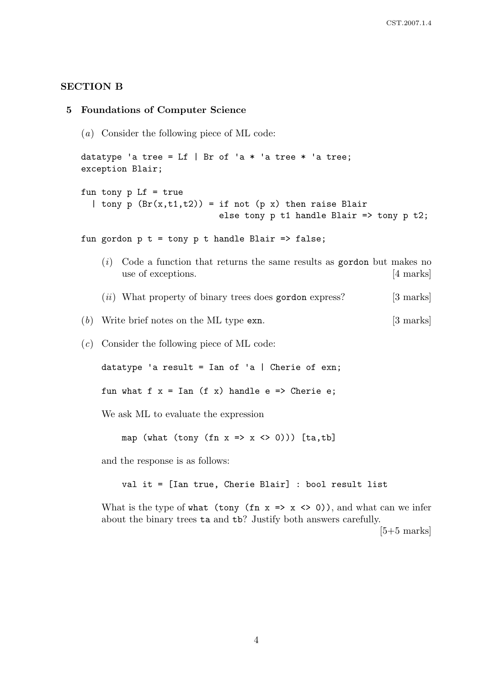#### SECTION B

```
5 Foundations of Computer Science
(a) Consider the following piece of ML code:
datatype 'a tree = Lf | Br of 'a * 'a tree * 'a tree;
exception Blair;
fun tony p Lf = true| tony p (Br(x,t1,t2)) = if not (p x) then raise Blairelse tony p t1 handle Blair => tony p t2;
fun gordon p t = tony p t handle Blair => false;
    (i) Code a function that returns the same results as gordon but makes no
        use of exceptions. [4 marks]
     (ii) What property of binary trees does gordon express? [3 marks]
(b) Write brief notes on the ML type exn. [3 marks]
(c) Consider the following piece of ML code:
    datatype 'a result = Ian of 'a | Cherie of exn;
    fun what f x = Ian (f x) handle e => Cherie e;
    We ask ML to evaluate the expression
        map (what (tony (fn x \Rightarrow x \Leftrightarrow 0))) [ta,tb]
     and the response is as follows:
```
val it = [Ian true, Cherie Blair] : bool result list

What is the type of what (tony (fn  $x \Rightarrow x \Leftrightarrow 0$ ), and what can we infer about the binary trees ta and tb? Justify both answers carefully.

 $[5+5$  marks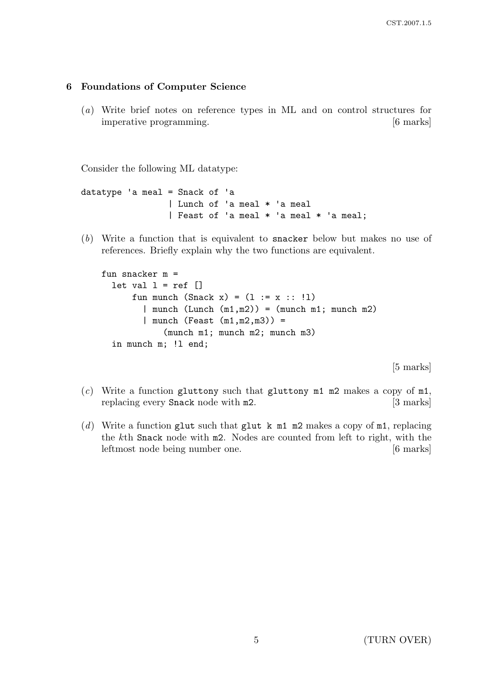#### 6 Foundations of Computer Science

(a) Write brief notes on reference types in ML and on control structures for imperative programming. [6 marks]

Consider the following ML datatype:

```
datatype 'a meal = Snack of 'a
               | Lunch of 'a meal * 'a meal
               | Feast of 'a meal * 'a meal * 'a meal;
```
(b) Write a function that is equivalent to snacker below but makes no use of references. Briefly explain why the two functions are equivalent.

```
fun snacker m =
let val l = ref \lceilfun munch (Snack x) = (1 := x : : !1)| munch (Lunch (m1,m2)) = (munch m1; munch m2)| munch (Feast (m1,m2,m3)) =
          (munch m1; munch m2; munch m3)
in munch m; !l end;
```
[5 marks]

- (c) Write a function gluttony such that gluttony  $m1$  m2 makes a copy of  $m1$ , replacing every **Snack** node with **m2**. [3 marks]
- (d) Write a function glut such that glut k m1 m2 makes a copy of m1, replacing the kth Snack node with m2. Nodes are counted from left to right, with the leftmost node being number one. [6 marks]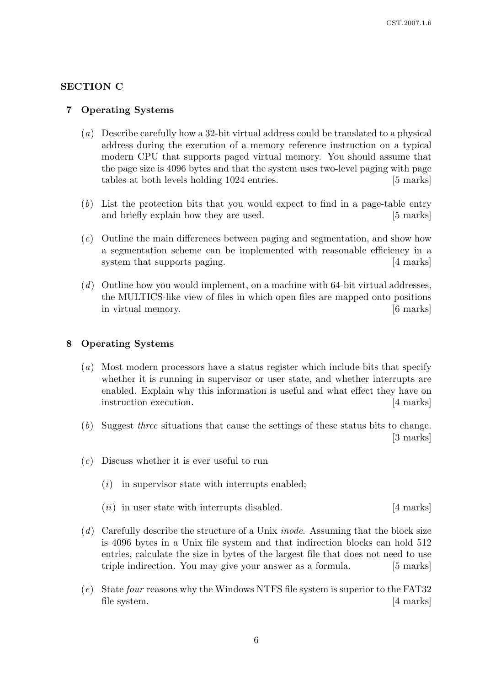## SECTION C

#### 7 Operating Systems

- (a) Describe carefully how a 32-bit virtual address could be translated to a physical address during the execution of a memory reference instruction on a typical modern CPU that supports paged virtual memory. You should assume that the page size is 4096 bytes and that the system uses two-level paging with page tables at both levels holding 1024 entries. [5 marks]
- (b) List the protection bits that you would expect to find in a page-table entry and briefly explain how they are used. [5 marks]
- (c) Outline the main differences between paging and segmentation, and show how a segmentation scheme can be implemented with reasonable efficiency in a system that supports paging. [4 marks]
- (d) Outline how you would implement, on a machine with 64-bit virtual addresses, the MULTICS-like view of files in which open files are mapped onto positions in virtual memory. [6 marks]

## 8 Operating Systems

- (a) Most modern processors have a status register which include bits that specify whether it is running in supervisor or user state, and whether interrupts are enabled. Explain why this information is useful and what effect they have on instruction execution. [4 marks]
- (b) Suggest three situations that cause the settings of these status bits to change. [3 marks]
- $(c)$  Discuss whether it is ever useful to run
	- $(i)$  in supervisor state with interrupts enabled;

 $(ii)$  in user state with interrupts disabled. [4 marks]

- (d) Carefully describe the structure of a Unix *inode*. Assuming that the block size is 4096 bytes in a Unix file system and that indirection blocks can hold 512 entries, calculate the size in bytes of the largest file that does not need to use triple indirection. You may give your answer as a formula. [5 marks]
- (e) State four reasons why the Windows NTFS file system is superior to the FAT32 file system. [4 marks]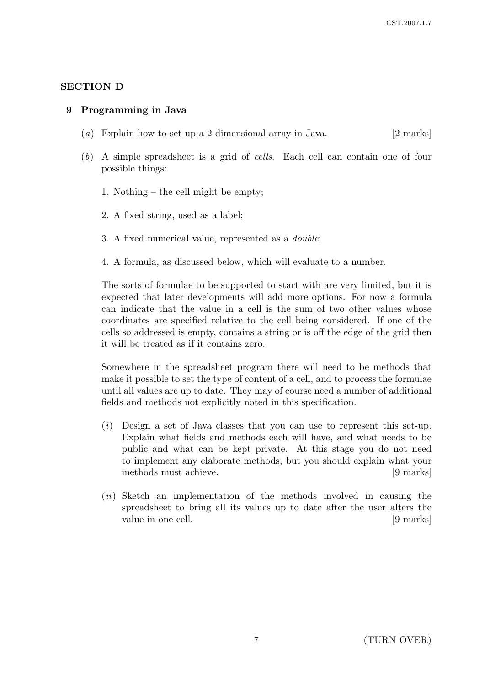## SECTION D

#### 9 Programming in Java

- (a) Explain how to set up a 2-dimensional array in Java. [2 marks]
- (b) A simple spreadsheet is a grid of cells. Each cell can contain one of four possible things:
	- 1. Nothing the cell might be empty;
	- 2. A fixed string, used as a label;
	- 3. A fixed numerical value, represented as a double;
	- 4. A formula, as discussed below, which will evaluate to a number.

The sorts of formulae to be supported to start with are very limited, but it is expected that later developments will add more options. For now a formula can indicate that the value in a cell is the sum of two other values whose coordinates are specified relative to the cell being considered. If one of the cells so addressed is empty, contains a string or is off the edge of the grid then it will be treated as if it contains zero.

Somewhere in the spreadsheet program there will need to be methods that make it possible to set the type of content of a cell, and to process the formulae until all values are up to date. They may of course need a number of additional fields and methods not explicitly noted in this specification.

- $(i)$  Design a set of Java classes that you can use to represent this set-up. Explain what fields and methods each will have, and what needs to be public and what can be kept private. At this stage you do not need to implement any elaborate methods, but you should explain what your methods must achieve. [9 marks]
- $(ii)$  Sketch an implementation of the methods involved in causing the spreadsheet to bring all its values up to date after the user alters the value in one cell. [9 marks]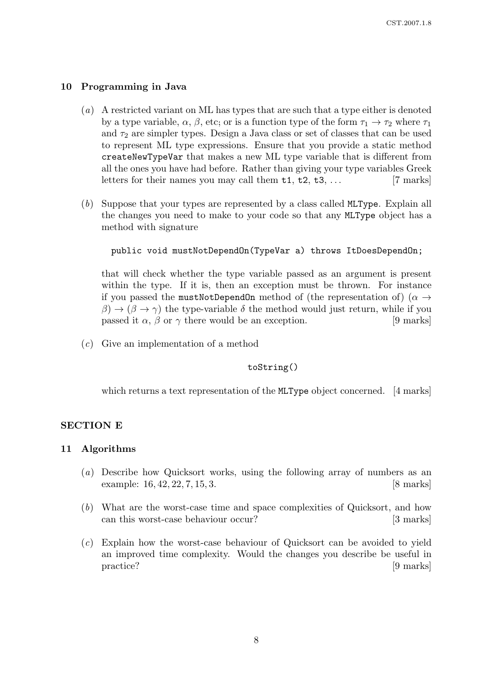#### 10 Programming in Java

- (a) A restricted variant on ML has types that are such that a type either is denoted by a type variable,  $\alpha$ ,  $\beta$ , etc; or is a function type of the form  $\tau_1 \to \tau_2$  where  $\tau_1$ and  $\tau_2$  are simpler types. Design a Java class or set of classes that can be used to represent ML type expressions. Ensure that you provide a static method createNewTypeVar that makes a new ML type variable that is different from all the ones you have had before. Rather than giving your type variables Greek letters for their names you may call them  $t_1, t_2, t_3, \ldots$  [7 marks]
- (b) Suppose that your types are represented by a class called MLType. Explain all the changes you need to make to your code so that any MLType object has a method with signature

```
public void mustNotDependOn(TypeVar a) throws ItDoesDependOn;
```
that will check whether the type variable passed as an argument is present within the type. If it is, then an exception must be thrown. For instance if you passed the mustNotDependOn method of (the representation of) ( $\alpha \rightarrow$  $\beta$ )  $\rightarrow$  ( $\beta \rightarrow \gamma$ ) the type-variable  $\delta$  the method would just return, while if you passed it  $\alpha$ ,  $\beta$  or  $\gamma$  there would be an exception. [9 marks]

(c) Give an implementation of a method

toString()

which returns a text representation of the **MLType** object concerned. [4 marks]

#### SECTION E

#### 11 Algorithms

- (a) Describe how Quicksort works, using the following array of numbers as an example: 16, 42, 22, 7, 15, 3. [8 marks]
- (b) What are the worst-case time and space complexities of Quicksort, and how can this worst-case behaviour occur? [3 marks]
- (c) Explain how the worst-case behaviour of Quicksort can be avoided to yield an improved time complexity. Would the changes you describe be useful in practice? [9 marks]